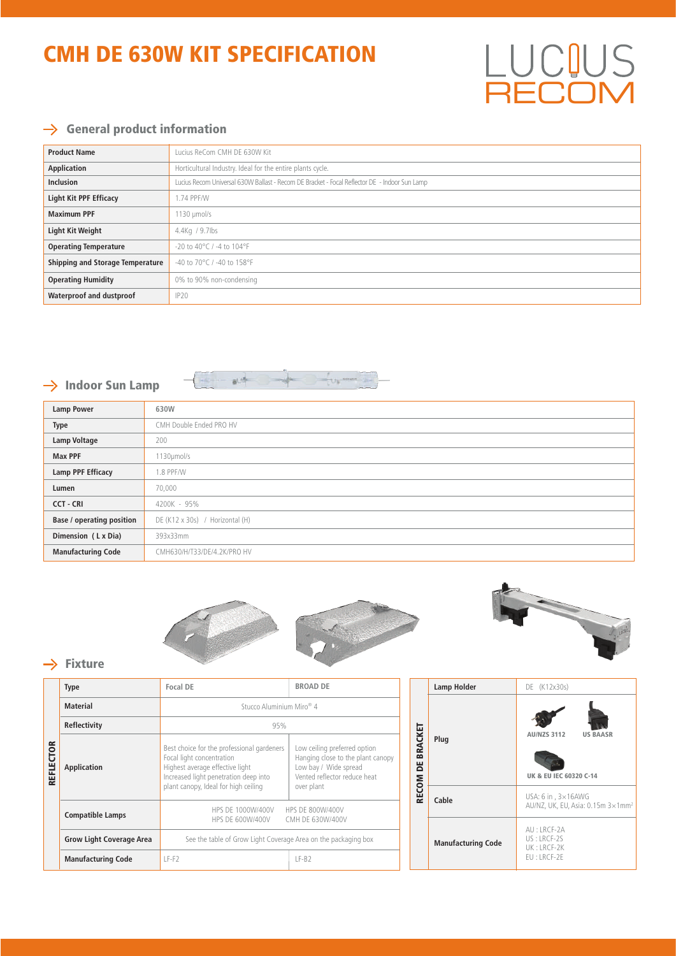## CMH DE 630W KIT SPECIFICATION

### $\rightarrow$  General product information

| <b>Product Name</b>                     | Lucius ReCom CMH DE 630W Kit                                                                  |  |
|-----------------------------------------|-----------------------------------------------------------------------------------------------|--|
| Application                             | Horticultural Industry. Ideal for the entire plants cycle.                                    |  |
| <b>Inclusion</b>                        | Lucius Recom Universal 630W Ballast - Recom DE Bracket - Focal Reflector DE - Indoor Sun Lamp |  |
| <b>Light Kit PPF Efficacy</b>           | 1.74 PPF/W                                                                                    |  |
| <b>Maximum PPF</b>                      | $1130 \mu$ mol/s                                                                              |  |
| <b>Light Kit Weight</b>                 | 4.4Kg / 9.7lbs                                                                                |  |
| <b>Operating Temperature</b>            | $-20$ to 40°C / -4 to 104°F                                                                   |  |
| <b>Shipping and Storage Temperature</b> | -40 to 70°C / -40 to 158°F                                                                    |  |
| <b>Operating Humidity</b>               | 0% to 90% non-condensing                                                                      |  |
| Waterproof and dustproof                | IP20                                                                                          |  |

### $\rightarrow$  Indoor Sun Lamp



| <b>Lamp Power</b>                | 630W                            |
|----------------------------------|---------------------------------|
| <b>Type</b>                      | CMH Double Ended PRO HV         |
| Lamp Voltage                     | 200                             |
| <b>Max PPF</b>                   | 1130µmol/s                      |
| <b>Lamp PPF Efficacy</b>         | 1.8 PPF/W                       |
| Lumen                            | 70,000                          |
| <b>CCT - CRI</b>                 | 4200K - 95%                     |
| <b>Base / operating position</b> | DE (K12 x 30s) / Horizontal (H) |
| Dimension (LxDia)                | 393x33mm                        |
| <b>Manufacturing Code</b>        | CMH630/H/T33/DE/4.2K/PRO HV     |





**LUCIUS**<br>RECOM

#### $\rightarrow$  Fixture

|                  | <b>Type</b>                     | Focal DE                                                                                                                                                                                    | <b>BROAD DE</b>                                                                                                                          |                              | <b>Lamp Holder</b>        | DE (K12x30s)                                                        |  |
|------------------|---------------------------------|---------------------------------------------------------------------------------------------------------------------------------------------------------------------------------------------|------------------------------------------------------------------------------------------------------------------------------------------|------------------------------|---------------------------|---------------------------------------------------------------------|--|
|                  | <b>Material</b>                 | Stucco Aluminium Miro <sup>®</sup> 4                                                                                                                                                        |                                                                                                                                          |                              |                           |                                                                     |  |
|                  | Reflectivity                    | 95%                                                                                                                                                                                         |                                                                                                                                          |                              |                           |                                                                     |  |
| <b>REFLECTOR</b> | Application                     | Best choice for the professional gardeners<br>Focal light concentration<br>Highest average effective light<br>Increased light penetration deep into<br>plant canopy, Ideal for high ceiling | Low ceiling preferred option<br>Hanging close to the plant canopy<br>Low bay / Wide spread<br>Vented reflector reduce heat<br>over plant | BRACKET<br>ă<br><b>RECOM</b> | Plug                      | <b>AU/NZS 3112</b><br><b>US BAASR</b><br>UK & EU IEC 60320 C-14     |  |
|                  | <b>Compatible Lamps</b>         | HPS DE 1000W/400V<br>HPS DE 800W/400V                                                                                                                                                       |                                                                                                                                          |                              | Cable                     | USA: $6$ in , $3 \times 16$ AWG<br>AU/NZ, UK, EU, Asia: 0.15m 3×1mm |  |
|                  |                                 | HPS DE 600W/400V<br>CMH DE 630W/400V                                                                                                                                                        |                                                                                                                                          |                              |                           | AU: LRCF-2A                                                         |  |
|                  | <b>Grow Light Coverage Area</b> | See the table of Grow Light Coverage Area on the packaging box                                                                                                                              |                                                                                                                                          |                              | <b>Manufacturing Code</b> | US: LRCF-2S<br>UK: LRCF-2K                                          |  |
|                  | <b>Manufacturing Code</b>       | $LF-F2$                                                                                                                                                                                     | $LF-B2$                                                                                                                                  |                              |                           | EU: LRCF-2E                                                         |  |